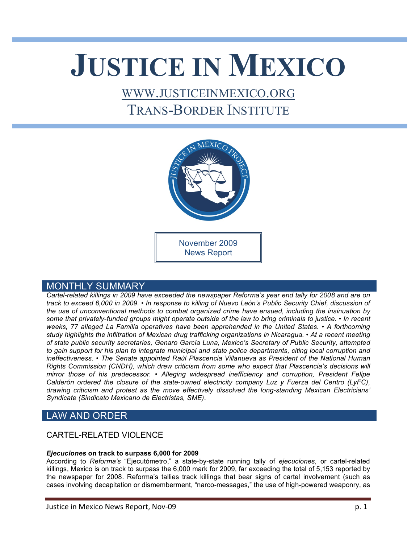# **JUSTICE IN MEXICO**

## WWW.JUSTICEINMEXICO.ORG TRANS-BORDER INSTITUTE



## MONTHLY SUMMARY

*Cartel-related killings in 2009 have exceeded the newspaper Reforma's year end tally for 2008 and are on track to exceed 6,000 in 2009. • In response to killing of Nuevo León's Public Security Chief, discussion of the use of unconventional methods to combat organized crime have ensued, including the insinuation by some that privately-funded groups might operate outside of the law to bring criminals to justice. • In recent weeks, 77 alleged La Familia operatives have been apprehended in the United States. • A forthcoming study highlights the infiltration of Mexican drug trafficking organizations in Nicaragua. • At a recent meeting of state public security secretaries, Genaro García Luna, Mexico's Secretary of Public Security, attempted*  to gain support for his plan to integrate municipal and state police departments, citing local corruption and *ineffectiveness. • The Senate appointed Raúl Plascencia Villanueva as President of the National Human Rights Commission (CNDH), which drew criticism from some who expect that Plascencia's decisions will mirror those of his predecessor. • Alleging widespread inefficiency and corruption, President Felipe Calderón ordered the closure of the state-owned electricity company Luz y Fuerza del Centro (LyFC), drawing criticism and protest as the move effectively dissolved the long-standing Mexican Electricians' Syndicate (Sindicato Mexicano de Electristas, SME).*

## LAW AND ORDER

## CARTEL-RELATED VIOLENCE

## *Ejecuciones* **on track to surpass 6,000 for 2009**

According to *Reforma's* "Ejecutómetro," a state-by-state running tally of *ejecuciones,* or cartel-related killings, Mexico is on track to surpass the 6,000 mark for 2009, far exceeding the total of 5,153 reported by the newspaper for 2008. Reforma's tallies track killings that bear signs of cartel involvement (such as cases involving decapitation or dismemberment, "narco-messages," the use of high-powered weaponry, as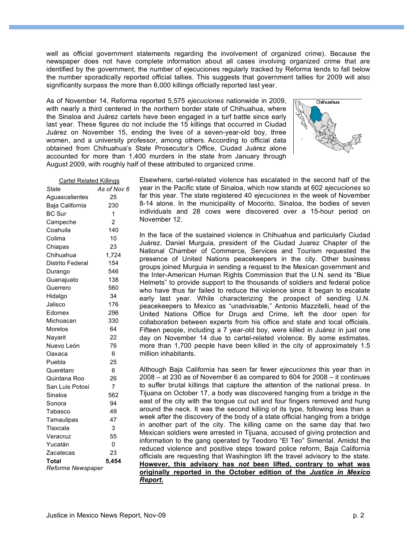well as official government statements regarding the involvement of organized crime). Because the newspaper does not have complete information about all cases involving organized crime that are identified by the government, the number of ejecuciones regularly tracked by Reforma tends to fall below the number sporadically reported official tallies. This suggests that government tallies for 2009 will also significantly surpass the more than 6,000 killings officially reported last year.

As of November 14, Reforma reported 5,575 *ejecuciones* nationwide in 2009, with nearly a third centered in the northern border state of Chihuahua, where the Sinaloa and Juárez cartels have been engaged in a turf battle since early last year. These figures do not include the 15 killings that occurred in Ciudad Juárez on November 15, ending the lives of a seven-year-old boy, three women, and a university professor, among others. According to official data obtained from Chihuahua's State Prosecutor's Office, Ciudad Juárez alone accounted for more than 1,400 murders in the state from January through August 2009, with roughly half of these attributed to organized crime.



| <b>Cartel Related Killings</b> |                |
|--------------------------------|----------------|
| State                          | As of Nov 6    |
| Aguascalientes                 | 25             |
| Baja California                | 230            |
| <b>BC Sur</b>                  | 1              |
| Campeche                       | $\overline{2}$ |
| Coahuila                       | 140            |
| Colima                         | 10             |
| Chiapas                        | 23             |
| Chihuahua                      | 1,724          |
| Distrito Federal               | 154            |
| Durango                        | 546            |
| Guanajuato                     | 138            |
| Guerrero                       | 560            |
| Hidalgo                        | 34             |
| Jalisco                        | 176            |
| Edomex                         | 296            |
| Michoacan                      | 330            |
| Morelos                        | 64             |
| Nayarit                        | 22             |
| Nuevo León                     | 76             |
| Oaxaca                         | 6              |
| Puebla                         | 25             |
| Querétaro                      | 6              |
| Quintana Roo                   | 26             |
| San Luis Potosi                | $\overline{7}$ |
| Sinaloa                        | 562            |
| Sonora                         | 94             |
| Tabasco                        | 49             |
| Tamaulipas                     | 47             |
| Tlaxcala                       | 3              |
| Veracruz                       | 55             |
| Yucatán                        | 0              |
| Zacatecas                      | 23             |
| <b>Total</b>                   | 5,454          |
| Reforma Newspaper              |                |

Elsewhere, cartel-related violence has escalated in the second half of the year in the Pacific state of Sinaloa, which now stands at 602 *ejecuciones* so far this year. The state registered 40 *ejecuciones* in the week of November 8-14 alone. In the municipality of Mocorito, Sinaloa, the bodies of seven individuals and 28 cows were discovered over a 15-hour period on November 12.

In the face of the sustained violence in Chihuahua and particularly Ciudad Juárez, Daniel Murguia, president of the Ciudad Juarez Chapter of the National Chamber of Commerce, Services and Tourism requested the presence of United Nations peacekeepers in the city. Other business groups joined Murguia in sending a request to the Mexican government and the Inter-American Human Rights Commission that the U.N. send its "Blue Helmets" to provide support to the thousands of soldiers and federal police who have thus far failed to reduce the violence since it began to escalate early last year. While characterizing the prospect of sending U.N. peacekeepers to Mexico as "unadvisable," Antonio Mazzitelli, head of the United Nations Office for Drugs and Crime, left the door open for collaboration between experts from his office and state and local officials. Fifteen people, including a 7 year-old boy, were killed in Juárez in just one day on November 14 due to cartel-related violence. By some estimates, more than 1,700 people have been killed in the city of approximately 1.5 million inhabitants.

Although Baja California has seen far fewer *ejecuciones* this year than in 2008 – at 230 as of November 6 as compared to 604 for 2008 – it continues to suffer brutal killings that capture the attention of the national press. In Tijuana on October 17, a body was discovered hanging from a bridge in the east of the city with the tongue cut out and four fingers removed and hung around the neck. It was the second killing of its type, following less than a week after the discovery of the body of a state official hanging from a bridge in another part of the city. The killing came on the same day that two Mexican soldiers were arrested in Tijuana, accused of giving protection and information to the gang operated by Teodoro "El Teo" Simental. Amidst the reduced violence and positive steps toward police reform, Baja California officials are requesting that Washington lift the travel advisory to the state. **However, this advisory has** *not* **been lifted, contrary to what was originally reported in the October edition of the** *Justice in Mexico Report.*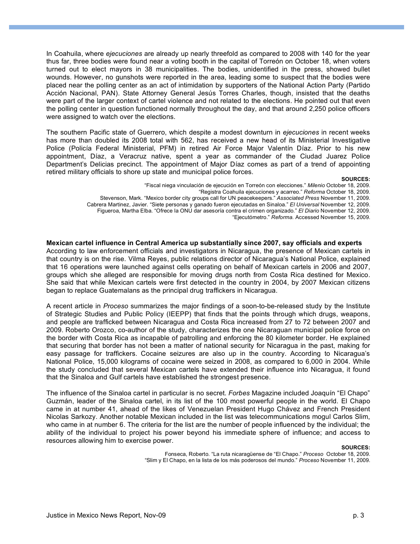In Coahuila, where *ejecuciones* are already up nearly threefold as compared to 2008 with 140 for the year thus far, three bodies were found near a voting booth in the capital of Torreón on October 18, when voters turned out to elect mayors in 38 municipalities. The bodies, unidentified in the press, showed bullet wounds. However, no gunshots were reported in the area, leading some to suspect that the bodies were placed near the polling center as an act of intimidation by supporters of the National Action Party (Partido Acción Nacional, PAN). State Attorney General Jesús Torres Charles, though, insisted that the deaths were part of the larger context of cartel violence and not related to the elections. He pointed out that even the polling center in question functioned normally throughout the day, and that around 2,250 police officers were assigned to watch over the elections.

The southern Pacific state of Guerrero, which despite a modest downturn in *ejecuciones* in recent weeks has more than doubled its 2008 total with 562, has received a new head of its Ministerial Investigative Police (Policía Federal Ministerial, PFM) in retired Air Force Major Valentín Díaz. Prior to his new appointment, Díaz, a Veracruz native, spent a year as commander of the Ciudad Juarez Police Department's Delicias precinct. The appointment of Major Díaz comes as part of a trend of appointing retired military officials to shore up state and municipal police forces.

#### **SOURCES:**

- "Fiscal niega vinculación de ejecución en Torreón con elecciones." *Milenio* October 18, 2009.
	- "Registra Coahuila ejecuciones y acarreo." *Reforma* October 18, 2009.
- Stevenson, Mark. "Mexico border city groups call for UN peacekeepers." *Associated Press* November 11, 2009.
- Cabrera Martinez, Javier. "Siete personas y ganado fueron ejecutadas en Sinaloa." *El Universal* November 12, 2009.
	- Figueroa, Martha Elba. "Ofrece la ONU dar asesoría contra el crimen organizado." *El Diario* November 12, 2009.

"Ejecutómetro." *Reforma.* Accessed November 15, 2009.

#### **Mexican cartel influence in Central America up substantially since 2007, say officials and experts**

According to law enforcement officials and investigators in Nicaragua, the presence of Mexican cartels in that country is on the rise. Vilma Reyes, public relations director of Nicaragua's National Police, explained that 16 operations were launched against cells operating on behalf of Mexican cartels in 2006 and 2007, groups which she alleged are responsible for moving drugs north from Costa Rica destined for Mexico. She said that while Mexican cartels were first detected in the country in 2004, by 2007 Mexican citizens began to replace Guatemalans as the principal drug traffickers in Nicaragua.

A recent article in *Proceso* summarizes the major findings of a soon-to-be-released study by the Institute of Strategic Studies and Public Policy (IEEPP) that finds that the points through which drugs, weapons, and people are trafficked between Nicaragua and Costa Rica increased from 27 to 72 between 2007 and 2009. Roberto Orozco, co-author of the study, characterizes the one Nicaraguan municipal police force on the border with Costa Rica as incapable of patrolling and enforcing the 80 kilometer border. He explained that securing that border has not been a matter of national security for Nicaragua in the past, making for easy passage for traffickers. Cocaine seizures are also up in the country. According to Nicaragua's National Police, 15,000 kilograms of cocaine were seized in 2008, as compared to 6,000 in 2004. While the study concluded that several Mexican cartels have extended their influence into Nicaragua, it found that the Sinaloa and Gulf cartels have established the strongest presence.

The influence of the Sinaloa cartel in particular is no secret. *Forbes* Magazine included Joaquín "El Chapo" Guzmán, leader of the Sinaloa cartel, in its list of the 100 most powerful people in the world. El Chapo came in at number 41, ahead of the likes of Venezuelan President Hugo Chávez and French President Nicolas Sarkozy. Another notable Mexican included in the list was telecommunications mogul Carlos Slim, who came in at number 6. The criteria for the list are the number of people influenced by the individual; the ability of the individual to project his power beyond his immediate sphere of influence; and access to resources allowing him to exercise power.

#### **SOURCES:**

Fonseca, Roberto. "La ruta nicaragüense de "El Chapo." *Proceso* October 18, 2009. "Slim y El Chapo, en la lista de los más poderosos del mundo." *Proceso* November 11, 2009.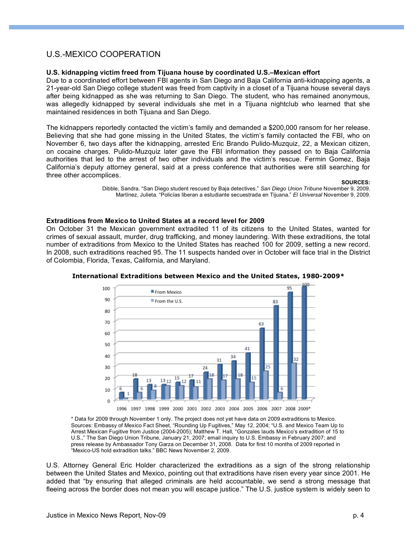## U.S.-MEXICO COOPERATION

#### **U.S. kidnapping victim freed from Tijuana house by coordinated U.S.–Mexican effort**

Due to a coordinated effort between FBI agents in San Diego and Baja California anti-kidnapping agents, a 21-year-old San Diego college student was freed from captivity in a closet of a Tijuana house several days after being kidnapped as she was returning to San Diego. The student, who has remained anonymous, was allegedly kidnapped by several individuals she met in a Tijuana nightclub who learned that she maintained residences in both Tijuana and San Diego.

The kidnappers reportedly contacted the victim's family and demanded a \$200,000 ransom for her release. Believing that she had gone missing in the United States, the victim's family contacted the FBI, who on November 6, two days after the kidnapping, arrested Eric Brando Pulido-Muzquiz, 22, a Mexican citizen, on cocaine charges. Pulido-Muzquiz later gave the FBI information they passed on to Baja California authorities that led to the arrest of two other individuals and the victim's rescue. Fermin Gomez, Baja California's deputy attorney general, said at a press conference that authorities were still searching for three other accomplices.

**SOURCES:**

Dibble, Sandra. "San Diego student rescued by Baja detectives." *San Diego Union Tribune* November 9, 2009. Martínez, Julieta. "Policías liberan a estudiante secuestrada en Tijuana." *El Universal* November 9, 2009.

#### **Extraditions from Mexico to United States at a record level for 2009**

On October 31 the Mexican government extradited 11 of its citizens to the United States, wanted for crimes of sexual assault, murder, drug trafficking, and money laundering. With these extraditions, the total number of extraditions from Mexico to the United States has reached 100 for 2009, setting a new record. In 2008, such extraditions reached 95. The 11 suspects handed over in October will face trial in the District of Colombia, Florida, Texas, California, and Maryland.



#### **International Extraditions between Mexico and the United States, 1980-2009\***

\* Data for 2009 through November 1 only. The project does not yet have data on 2009 extraditions to Mexico. Sources: Embassy of Mexico Fact Sheet, "Rounding Up Fugitives," May 12, 2004; "U.S. and Mexico Team Up to Arrest Mexican Fugitive from Justice (2004-2005); Matthew T. Hall, "Gonzales lauds Mexico's extradition of 15 to U.S.," The San Diego Union Tribune, January 21, 2007; email inquiry to U.S. Embassy in February 2007; and press release by Ambassador Tony Garza on December 31, 2008. Data for first 10 months of 2009 reported in "Mexico-US hold extradition talks." BBC News November 2, 2009.

U.S. Attorney General Eric Holder characterized the extraditions as a sign of the strong relationship between the United States and Mexico, pointing out that extraditions have risen every year since 2001. He added that "by ensuring that alleged criminals are held accountable, we send a strong message that fleeing across the border does not mean you will escape justice." The U.S. justice system is widely seen to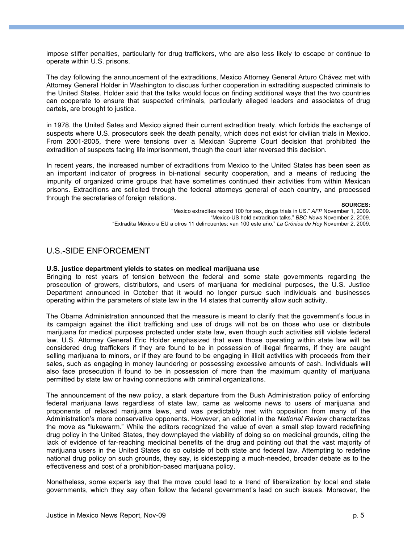impose stiffer penalties, particularly for drug traffickers, who are also less likely to escape or continue to operate within U.S. prisons.

The day following the announcement of the extraditions, Mexico Attorney General Arturo Chávez met with Attorney General Holder in Washington to discuss further cooperation in extraditing suspected criminals to the United States. Holder said that the talks would focus on finding additional ways that the two countries can cooperate to ensure that suspected criminals, particularly alleged leaders and associates of drug cartels, are brought to justice.

in 1978, the United Sates and Mexico signed their current extradition treaty, which forbids the exchange of suspects where U.S. prosecutors seek the death penalty, which does not exist for civilian trials in Mexico. From 2001-2005, there were tensions over a Mexican Supreme Court decision that prohibited the extradition of suspects facing life imprisonment, though the court later reversed this decision.

In recent years, the increased number of extraditions from Mexico to the United States has been seen as an important indicator of progress in bi-national security cooperation, and a means of reducing the impunity of organized crime groups that have sometimes continued their activities from within Mexican prisons. Extraditions are solicited through the federal attorneys general of each country, and processed through the secretaries of foreign relations.

**SOURCES:**

"Mexico extradites record 100 for sex, drugs trials in US." *AFP* November 1, 2009. "Mexico-US hold extradition talks." *BBC News* November 2, 2009. "Extradita México a EU a otros 11 delincuentes; van 100 este año." *La Crónica de Hoy* November 2, 2009.

## U.S.-SIDE ENFORCEMENT

#### **U.S. justice department yields to states on medical marijuana use**

Bringing to rest years of tension between the federal and some state governments regarding the prosecution of growers, distributors, and users of marijuana for medicinal purposes, the U.S. Justice Department announced in October that it would no longer pursue such individuals and businesses operating within the parameters of state law in the 14 states that currently allow such activity.

The Obama Administration announced that the measure is meant to clarify that the government's focus in its campaign against the illicit trafficking and use of drugs will not be on those who use or distribute marijuana for medical purposes protected under state law, even though such activities still violate federal law. U.S. Attorney General Eric Holder emphasized that even those operating within state law will be considered drug traffickers if they are found to be in possession of illegal firearms, if they are caught selling marijuana to minors, or if they are found to be engaging in illicit activities with proceeds from their sales, such as engaging in money laundering or possessing excessive amounts of cash. Individuals will also face prosecution if found to be in possession of more than the maximum quantity of marijuana permitted by state law or having connections with criminal organizations.

The announcement of the new policy, a stark departure from the Bush Administration policy of enforcing federal marijuana laws regardless of state law, came as welcome news to users of marijuana and proponents of relaxed marijuana laws, and was predictably met with opposition from many of the Administration's more conservative opponents. However, an editorial in the *National Review* characterizes the move as "lukewarm." While the editors recognized the value of even a small step toward redefining drug policy in the United States, they downplayed the viability of doing so on medicinal grounds, citing the lack of evidence of far-reaching medicinal benefits of the drug and pointing out that the vast majority of marijuana users in the United States do so outside of both state and federal law. Attempting to redefine national drug policy on such grounds, they say, is sidestepping a much-needed, broader debate as to the effectiveness and cost of a prohibition-based marijuana policy.

Nonetheless, some experts say that the move could lead to a trend of liberalization by local and state governments, which they say often follow the federal government's lead on such issues. Moreover, the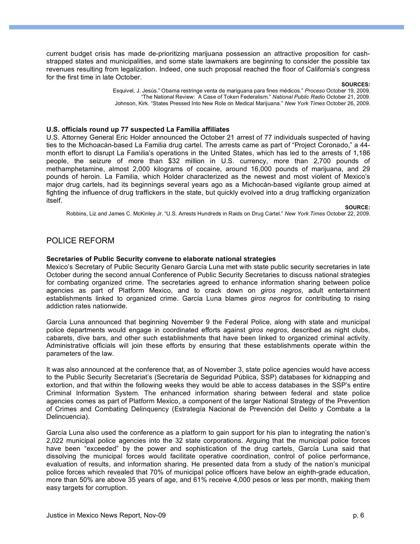current budget crisis has made de-prioritizing marijuana possession an attractive proposition for cashstrapped states and municipalities, and some state lawmakers are beginning to consider the possible tax revenues resulting from legalization. Indeed, one such proposal reached the floor of California's congress for the first time in late October.

#### **SOURCES:**

Esquivel, J. Jesús." Obama restringe venta de mariguana para fines médicos." *Proceso* October 19, 2009. "The National Review: A Case of Token Federalism." *National Public Radio* October 21, 2009. Johnson, Kirk. "States Pressed Into New Role on Medical Marijuana." *New York Times* October 26, 2009.

#### **U.S. officials round up 77 suspected La Familia affiliates**

U.S. Attorney General Eric Holder announced the October 21 arrest of 77 individuals suspected of having ties to the Michoacán-based La Familia drug cartel. The arrests came as part of "Project Coronado," a 44 month effort to disrupt La Familia's operations in the United States, which has led to the arrests of 1,186 people, the seizure of more than \$32 million in U.S. currency, more than 2,700 pounds of methamphetamine, almost 2,000 kilograms of cocaine, around 16,000 pounds of marijuana, and 29 pounds of heroin. La Familia, which Holder characterized as the newest and most violent of Mexico's major drug cartels, had its beginnings several years ago as a Michocán-based vigilante group aimed at fighting the influence of drug traffickers in the state, but quickly evolved into a drug trafficking organization itself.

#### **SOURCE:**

Robbins, Liz and James C. McKinley Jr. "U.S. Arrests Hundreds in Raids on Drug Cartel." *New York Times* October 22, 2009.

#### POLICE REFORM

#### **Secretaries of Public Security convene to elaborate national strategies**

Mexico's Secretary of Public Security Genaro García Luna met with state public security secretaries in late October during the second annual Conference of Public Security Secretaries to discuss national strategies for combating organized crime. The secretaries agreed to enhance information sharing between police agencies as part of Platform Mexico, and to crack down on *giros negros*, adult entertainment establishments linked to organized crime. García Luna blames *giros negros* for contributing to rising addiction rates nationwide.

García Luna announced that beginning November 9 the Federal Police, along with state and municipal police departments would engage in coordinated efforts against *giros negros*, described as night clubs, cabarets, dive bars, and other such establishments that have been linked to organized criminal activity. Administrative officials will join these efforts by ensuring that these establishments operate within the parameters of the law.

It was also announced at the conference that, as of November 3, state police agencies would have access to the Public Security Secretariat's (Secretaría de Seguridad Pública, SSP) databases for kidnapping and extortion, and that within the following weeks they would be able to access databases in the SSP's entire Criminal Information System. The enhanced information sharing between federal and state police agencies comes as part of Platform Mexico, a component of the larger National Strategy of the Prevention of Crimes and Combating Delinquency (Estrategía Nacional de Prevención del Delito y Combate a la Delincuencia).

García Luna also used the conference as a platform to gain support for his plan to integrating the nation's 2,022 municipal police agencies into the 32 state corporations. Arguing that the municipal police forces have been "exceeded" by the power and sophistication of the drug cartels, García Luna said that dissolving the municipal forces would facilitate operative coordination, control of police performance, evaluation of results, and information sharing. He presented data from a study of the nation's municipal police forces which revealed that 70% of municipal police officers have below an eighth-grade education, more than 50% are above 35 years of age, and 61% receive 4,000 pesos or less per month, making them easy targets for corruption.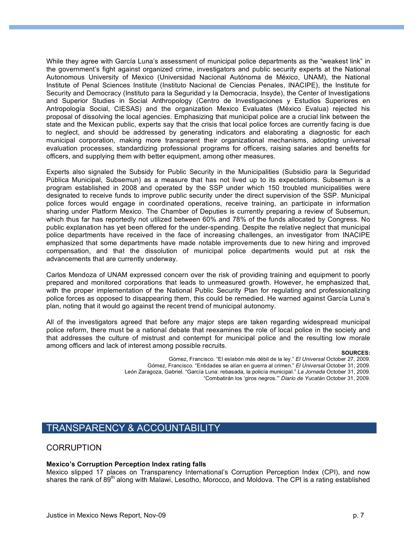While they agree with García Luna's assessment of municipal police departments as the "weakest link" in the government's fight against organized crime, investigators and public security experts at the National Autonomous University of Mexico (Universidad Nacional Autónoma de México, UNAM), the National Institute of Penal Sciences Institute (Instituto Nacional de Ciencias Penales, INACIPE), the Institute for Security and Democracy (Instituto para la Seguridad y la Democracia, Insyde), the Center of Investigations and Superior Studies in Social Anthropology (Centro de Investigaciones y Estudios Superiores en Antropología Social, CIESAS) and the organization Mexico Evaluates (México Evalua) rejected his proposal of dissolving the local agencies. Emphasizing that municipal police are a crucial link between the state and the Mexican public, experts say that the crisis that local police forces are currently facing is due to neglect, and should be addressed by generating indicators and elaborating a diagnostic for each municipal corporation, making more transparent their organizational mechanisms, adopting universal evaluation processes, standardizing professional programs for officers, raising salaries and benefits for officers, and supplying them with better equipment, among other measures.

Experts also signaled the Subsidy for Public Security in the Municipalities (Subsidio para la Seguridad Pública Municipal, Subsemun) as a measure that has not lived up to its expectations. Subsemun is a program established in 2008 and operated by the SSP under which 150 troubled municipalities were designated to receive funds to improve public security under the direct supervision of the SSP. Municipal police forces would engage in coordinated operations, receive training, an participate in information sharing under Platform Mexico. The Chamber of Deputies is currently preparing a review of Subsemun, which thus far has reportedly not utilized between 60% and 78% of the funds allocated by Congress. No public explanation has yet been offered for the under-spending. Despite the relative neglect that municipal police departments have received in the face of increasing challenges, an investigator from INACIPE emphasized that some departments have made notable improvements due to new hiring and improved compensation, and that the dissolution of municipal police departments would put at risk the advancements that are currently underway.

Carlos Mendoza of UNAM expressed concern over the risk of providing training and equipment to poorly prepared and monitored corporations that leads to unmeasured growth. However, he emphasized that, with the proper implementation of the National Public Security Plan for regulating and professionalizing police forces as opposed to disappearing them, this could be remedied. He warned against García Luna's plan, noting that it would go against the recent trend of municipal autonomy.

All of the investigators agreed that before any major steps are taken regarding widespread municipal police reform, there must be a national debate that reexamines the role of local police in the society and that addresses the culture of mistrust and contempt for municipal police and the resulting low morale among officers and lack of interest among possible recruits.

#### **SOURCES:**

Gómez, Francisco. "El eslabón más débil de la ley." *El Universal* October 27, 2009. Gómez, Francisco. "Entidades se alían en guerra al crimen." *El Universal* October 31, 2009. León Zaragoza, Gabriel. "García Luna: rebasada, la policía municipal." *La Jornada* October 31, 2009. "Combatirán los 'giros negros.'" *Diario de Yucatán* October 31, 2009.

## TRANSPARENCY & ACCOUNTABILITY

## **CORRUPTION**

## **Mexico's Corruption Perception Index rating falls**

Mexico slipped 17 places on Transparency International's Corruption Perception Index (CPI), and now shares the rank of 89<sup>th</sup> along with Malawi, Lesotho, Morocco, and Moldova. The CPI is a rating established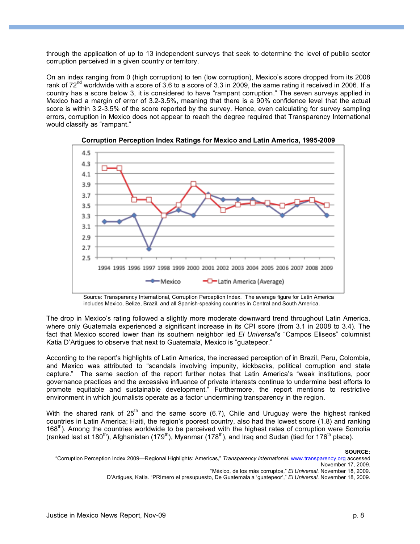through the application of up to 13 independent surveys that seek to determine the level of public sector corruption perceived in a given country or territory.

On an index ranging from 0 (high corruption) to ten (low corruption), Mexico's score dropped from its 2008 rank of 72<sup>nd</sup> worldwide with a score of 3.6 to a score of 3.3 in 2009, the same rating it received in 2006. If a country has a score below 3, it is considered to have "rampant corruption." The seven surveys applied in Mexico had a margin of error of 3.2-3.5%, meaning that there is a 90% confidence level that the actual score is within 3.2-3.5% of the score reported by the survey. Hence, even calculating for survey sampling errors, corruption in Mexico does not appear to reach the degree required that Transparency International would classify as "rampant."





Source: Transparency International, Corruption Perception Index. The average figure for Latin America includes Mexico, Belize, Brazil, and all Spanish-speaking countries in Central and South America.

The drop in Mexico's rating followed a slightly more moderate downward trend throughout Latin America, where only Guatemala experienced a significant increase in its CPI score (from 3.1 in 2008 to 3.4). The fact that Mexico scored lower than its southern neighbor led *El Universal*'s "Campos Eliseos" columnist Katia D'Artigues to observe that next to Guatemala, Mexico is "guatepeor."

According to the report's highlights of Latin America, the increased perception of in Brazil, Peru, Colombia, and Mexico was attributed to "scandals involving impunity, kickbacks, political corruption and state capture." The same section of the report further notes that Latin America's "weak institutions, poor governance practices and the excessive influence of private interests continue to undermine best efforts to promote equitable and sustainable development." Furthermore, the report mentions to restrictive environment in which journalists operate as a factor undermining transparency in the region.

With the shared rank of 25<sup>th</sup> and the same score (6.7), Chile and Uruguay were the highest ranked countries in Latin America; Haiti, the region's poorest country, also had the lowest score (1.8) and ranking  $168<sup>th</sup>$ ). Among the countries worldwide to be perceived with the highest rates of corruption were Somolia (ranked last at 180<sup>th</sup>), Afghanistan (179<sup>th</sup>), Myanmar (178<sup>th</sup>), and Iraq and Sudan (tied for 176<sup>th</sup> place).

#### **SOURCE:**

 <sup>&</sup>quot;Corruption Perception Index 2009—Regional Highlights: Americas," *Transparency International.* www.transparency.org accessed November 17, 2009.

<sup>&</sup>quot;México, de los más corruptos," *El Universal.* November 18, 2009*.*

D'Artigues, Katia. "PRImero el presupuesto, De Guatemala a 'guatepeor'," *El Universal.* November 18, 2009.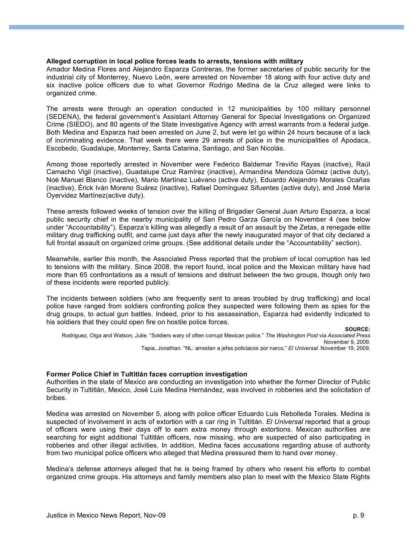#### **Alleged corruption in local police forces leads to arrests, tensions with military**

Amador Medina Flores and Alejandro Esparza Contreras, the former secretaries of public security for the industrial city of Monterrey, Nuevo León, were arrested on November 18 along with four active duty and six inactive police officers due to what Governor Rodrigo Medina de la Cruz alleged were links to organized crime.

The arrests were through an operation conducted in 12 municipalities by 100 military personnel (SEDENA), the federal government's Assistant Attorney General for Special Investigations on Organized Crime (SIEDO), and 80 agents of the State Investigative Agency with arrest warrants from a federal judge. Both Medina and Esparza had been arrested on June 2, but were let go within 24 hours because of a lack of incriminating evidence. That week there were 29 arrests of police in the municipalities of Apodaca, Escobedo, Guadalupe, Monterrey, Santa Catarina, Santiago, and San Nicolás.

Among those reportedly arrested in November were Federico Baldemar Treviño Rayas (inactive), Raúl Camacho Vigil (inactive), Guadalupe Cruz Ramírez (inactive), Armandina Mendoza Gómez (active duty), Noé Manuel Blanco (inactive), Mario Martínez Luévano (active duty), Eduardo Alejandro Morales Ocañas (inactive), Érick Iván Moreno Suárez (inactive), Rafael Domínguez Sifuentes (active duty), and José María Oyervidez Martínez(active duty).

These arrests followed weeks of tension over the killing of Brigadier General Juan Arturo Esparza, a local public security chief in the nearby municipality of San Pedro Garza García on November 4 (see below under "Accountability"). Esparza's killing was allegedly a result of an assault by the Zetas, a renegade elite military drug trafficking outfit, and came just days after the newly inaugurated mayor of that city declared a full frontal assault on organized crime groups. (See additional details under the "Accountability" section).

Meanwhile, earlier this month, the Associated Press reported that the problem of local corruption has led to tensions with the military. Since 2008, the report found, local police and the Mexican military have had more than 65 confrontations as a result of tensions and distrust between the two groups, though only two of these incidents were reported publicly.

The incidents between soldiers (who are frequently sent to areas troubled by drug trafficking) and local police have ranged from soldiers confronting police they suspected were following them as spies for the drug groups, to actual gun battles*.* Indeed, prior to his assassination, Esparza had evidently indicated to his soldiers that they could open fire on hostile police forces.

#### **SOURCE:**

Rodriguez, Olga and Watson, Julie. "Soldiers wary of often corrupt Mexican police." *The Washington Post* via *Associated Press*  November 9, 2009*.* Tapia, Jonathan. "NL: arrestan a jefes policiacos por narco," *El Universal*. November 19, 2009.

#### **Former Police Chief in Tultitlán faces corruption investigation**

Authorities in the state of Mexico are conducting an investigation into whether the former Director of Public Security in Tultitlán, Mexico, José Luis Medina Hernández, was involved in robberies and the solicitation of bribes.

Medina was arrested on November 5, along with police officer Eduardo Luis Rebolleda Torales*.* Medina is suspected of involvement in acts of extortion with a car ring in Tultitlán. *El Universal* reported that a group of officers were using their days off to earn extra money through extortions. Mexican authorities are searching for eight additional Tultitlán officers, now missing, who are suspected of also participating in robberies and other illegal activities. In addition, Medina faces accusations regarding abuse of authority from two municipal police officers who alleged that Medina pressured them to hand over money.

Medina's defense attorneys alleged that he is being framed by others who resent his efforts to combat organized crime groups. His attorneys and family members also plan to meet with the Mexico State Rights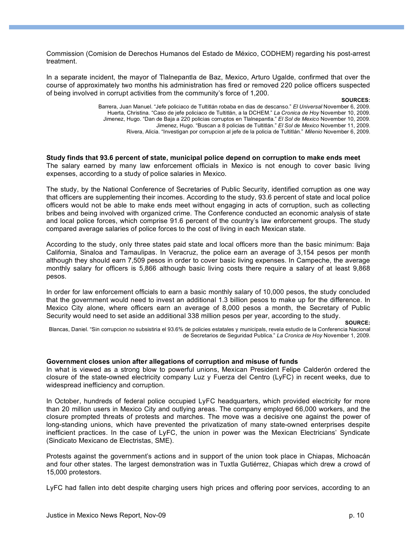Commission (Comision de Derechos Humanos del Estado de México, CODHEM) regarding his post-arrest treatment.

In a separate incident, the mayor of Tlalnepantla de Baz, Mexico, Arturo Ugalde, confirmed that over the course of approximately two months his administration has fired or removed 220 police officers suspected of being involved in corrupt activities from the community's force of 1,200.

#### **SOURCES:**

Barrera, Juan Manuel. "Jefe policiaco de Tultitlán robaba en dias de descanso." *El Universal* November 6, 2009. Huerta, Christina. "Caso de jefe policiaco de Tultitlán, a la DCHEM." *La Cronica de Hoy* November 10, 2009. Jimenez, Hugo. "Dan de Baja a 220 policias corruptos en Tlalnepantla." *El Sol de Mexico* November 10, 2009. Jimenez, Hugo. "Buscan a 8 policias de Tultitlán." *El Sol de Mexico* November 11, 2009. Rivera, Alicia. "Investigan por corrupcion al jefe de la policia de Tultitlán." *Milenio* November 6, 2009.

**Study finds that 93.6 percent of state, municipal police depend on corruption to make ends meet** The salary earned by many law enforcement officials in Mexico is not enough to cover basic living expenses, according to a study of police salaries in Mexico.

The study, by the National Conference of Secretaries of Public Security, identified corruption as one way that officers are supplementing their incomes. According to the study, 93.6 percent of state and local police officers would not be able to make ends meet without engaging in acts of corruption, such as collecting bribes and being involved with organized crime. The Conference conducted an economic analysis of state and local police forces, which comprise 91.6 percent of the country's law enforcement groups. The study compared average salaries of police forces to the cost of living in each Mexican state.

According to the study, only three states paid state and local officers more than the basic minimum: Baja California, Sinaloa and Tamaulipas. In Veracruz, the police earn an average of 3,154 pesos per month although they should earn 7,509 pesos in order to cover basic living expenses. In Campeche, the average monthly salary for officers is 5,866 although basic living costs there require a salary of at least 9,868 pesos.

In order for law enforcement officials to earn a basic monthly salary of 10,000 pesos, the study concluded that the government would need to invest an additional 1.3 billion pesos to make up for the difference. In Mexico City alone, where officers earn an average of 8,000 pesos a month, the Secretary of Public Security would need to set aside an additional 338 million pesos per year, according to the study.

**SOURCE:**

Blancas, Daniel. "Sin corrupcion no subsistiria el 93.6% de policies estatales y municipals, revela estudio de la Conferencia Nacional de Secretarios de Seguridad Publica." *La Cronica de Hoy* November 1, 2009.

## **Government closes union after allegations of corruption and misuse of funds**

In what is viewed as a strong blow to powerful unions, Mexican President Felipe Calderón ordered the closure of the state-owned electricity company Luz y Fuerza del Centro (LyFC) in recent weeks, due to widespread inefficiency and corruption.

In October, hundreds of federal police occupied LyFC headquarters, which provided electricity for more than 20 million users in Mexico City and outlying areas. The company employed 66,000 workers, and the closure prompted threats of protests and marches. The move was a decisive one against the power of long-standing unions, which have prevented the privatization of many state-owned enterprises despite inefficient practices. In the case of LyFC, the union in power was the Mexican Electricians' Syndicate (Sindicato Mexicano de Electristas, SME).

Protests against the government's actions and in support of the union took place in Chiapas, Michoacán and four other states. The largest demonstration was in Tuxtla Gutiérrez, Chiapas which drew a crowd of 15,000 protestors.

LyFC had fallen into debt despite charging users high prices and offering poor services, according to an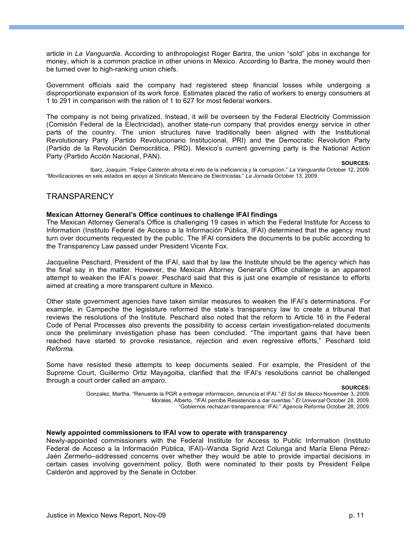article in *La Vanguardia.* According to anthropologist Roger Bartra, the union "sold" jobs in exchange for money, which is a common practice in other unions in Mexico. According to Bartra, the money would then be turned over to high-ranking union chiefs.

Government officials said the company had registered steep financial losses while undergoing a disproportionate expansion of its work force. Estimates placed the ratio of workers to energy consumers at 1 to 291 in comparison with the ration of 1 to 627 for most federal workers.

The company is not being privatized. Instead, it will be overseen by the Federal Electricity Commission (Comisión Federal de la Electricidad), another state-run company that provides energy service in other parts of the country. The union structures have traditionally been aligned with the Institutional Revolutionary Party (Partido Revolucionario Institucional, PRI) and the Democratic Revolution Party (Partido de la Revolución Democrática, PRD). Mexico's current governing party is the National Action Party (Partido Acción Nacional, PAN).

**SOURCES:**

Ibarz, Joaquim. "Felipe Calderón afronta el reto de la ineficiencia y la corrupcion." *La Vanguardia* October 12, 2009. "Movilizaciones en seis estados en apoyo al Sindicato Mexicano de Electricistas." *La Jornada* October 13, 2009.

## **TRANSPARENCY**

#### **Mexican Attorney General's Office continues to challenge IFAI findings**

The Mexican Attorney General's Office is challenging 19 cases in which the Federal Institute for Access to Information (Instituto Federal de Acceso a la Información Pública, IFAI) determined that the agency must turn over documents requested by the public. The IFAI considers the documents to be public according to the Transparency Law passed under President Vicente Fox.

Jacqueline Peschard, President of the IFAI, said that by law the Institute should be the agency which has the final say in the matter. However, the Mexican Attorney General's Office challenge is an apparent attempt to weaken the IFAI's power. Peschard said that this is just one example of resistance to efforts aimed at creating a more transparent culture in Mexico.

Other state government agencies have taken similar measures to weaken the IFAI's determinations. For example, in Campeche the legislature reformed the state's transparency law to create a tribunal that reviews the resolutions of the Institute. Peschard also noted that the reform to Article 16 in the Federal Code of Penal Processes also prevents the possibility to access certain investigation-related documents once the preliminary investigation phase has been concluded. "The important gains that have been reached have started to provoke resistance, rejection and even regressive efforts," Peschard told *Reforma.*

Some have resisted these attempts to keep documents sealed. For example, the President of the Supreme Court, Guillermo Ortiz Mayagoitia, clarified that the IFAI's resolutions cannot be challenged through a court order called an *amparo.*

**SOURCES:**

#### **Newly appointed commissioners to IFAI vow to operate with transparency**

Newly-appointed commissioners with the Federal Institute for Access to Public Information (Instituto Federal de Acceso a la Información Pública, IFAI)–Wanda Sigrid Arzt Colunga and María Elena Pérez-Jaén Zermeño–addressed concerns over whether they would be able to provide impartial decisions in certain cases involving government policy. Both were nominated to their posts by President Felipe Calderón and approved by the Senate in October.

Gonzalez, Martha. "Renuente la PGR a entregar informacion, denuncia el IFAI." *El Sol de Mexico* November 3, 2009. Morales, Alberto. "IFAI percibe Resistencia a dar cuentas." *El Universal* October 28, 2009. "Gobiernos rechazan transparencia: IFAI." *Agencia Reforma* October 28, 2009.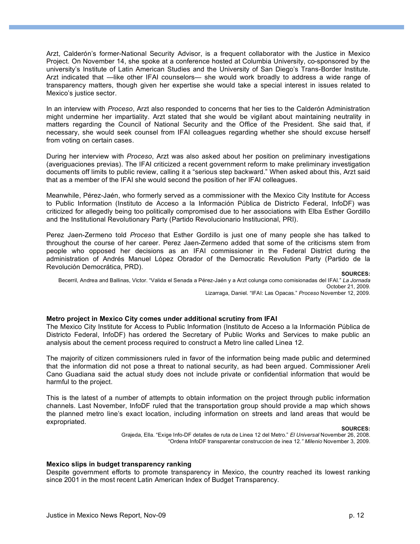Arzt, Calderón's former-National Security Advisor, is a frequent collaborator with the Justice in Mexico Project. On November 14, she spoke at a conference hosted at Columbia University, co-sponsored by the university's Institute of Latin American Studies and the University of San Diego's Trans-Border Institute. Arzt indicated that —like other IFAI counselors— she would work broadly to address a wide range of transparency matters, though given her expertise she would take a special interest in issues related to Mexico's justice sector.

In an interview with *Proceso*, Arzt also responded to concerns that her ties to the Calderón Administration might undermine her impartiality. Arzt stated that she would be vigilant about maintaining neutrality in matters regarding the Council of National Security and the Office of the President. She said that, if necessary, she would seek counsel from IFAI colleagues regarding whether she should excuse herself from voting on certain cases.

During her interview with *Proceso*, Arzt was also asked about her position on preliminary investigations (averiguaciones previas). The IFAI criticized a recent government reform to make preliminary investigation documents off limits to public review, calling it a "serious step backward." When asked about this, Arzt said that as a member of the IFAI she would second the position of her IFAI colleagues.

Meanwhile, Pérez-Jaén, who formerly served as a commissioner with the Mexico City Institute for Access to Public Information (Instituto de Acceso a la Información Pública de Districto Federal, InfoDF) was criticized for allegedly being too politically compromised due to her associations with Elba Esther Gordillo and the Institutional Revolutionary Party (Partido Revolucionario Institucional, PRI).

Perez Jaen-Zermeno told *Proceso* that Esther Gordillo is just one of many people she has talked to throughout the course of her career. Perez Jaen-Zermeno added that some of the criticisms stem from people who opposed her decisions as an IFAI commissioner in the Federal District during the administration of Andrés Manuel López Obrador of the Democratic Revolution Party (Partido de la Revolución Democrática, PRD).

**SOURCES:** Becerril, Andrea and Ballinas, Victor. "Valida el Senada a Pérez-Jaén y a Arzt colunga como comisionadas del IFAI." *La Jornada* October 21, 2009. Lizarraga, Daniel. "IFAI: Las Opacas." *Proceso* November 12, 2009.

#### **Metro project in Mexico City comes under additional scrutiny from IFAI**

The Mexico City Institute for Access to Public Information (Instituto de Acceso a la Información Pública de Districto Federal, InfoDF) has ordered the Secretary of Public Works and Services to make public an analysis about the cement process required to construct a Metro line called Linea 12.

The majority of citizen commissioners ruled in favor of the information being made public and determined that the information did not pose a threat to national security, as had been argued. Commissioner Areli Cano Guadiana said the actual study does not include private or confidential information that would be harmful to the project.

This is the latest of a number of attempts to obtain information on the project through public information channels. Last November, InfoDF ruled that the transportation group should provide a map which shows the planned metro line's exact location, including information on streets and land areas that would be expropriated.

#### **SOURCES:**

Grajeda, Ella. "Exige Info-DF detalles de ruta de Linea 12 del Metro." *El Universal* November 26, 2008. "Ordena InfoDF transparentar construccion de inea 12*." Milenio* November 3, 2009.

#### **Mexico slips in budget transparency ranking**

Despite government efforts to promote transparency in Mexico, the country reached its lowest ranking since 2001 in the most recent Latin American Index of Budget Transparency.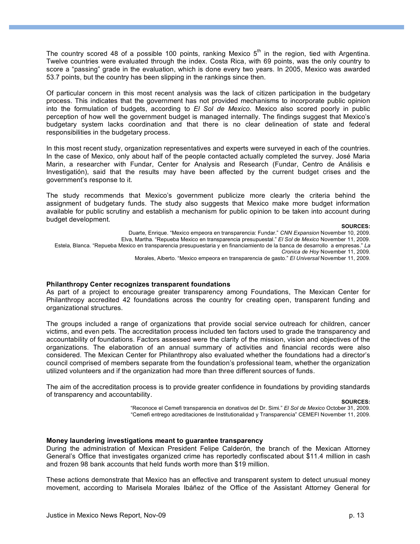The country scored 48 of a possible 100 points, ranking Mexico  $5<sup>th</sup>$  in the region, tied with Argentina. Twelve countries were evaluated through the index. Costa Rica, with 69 points, was the only country to score a "passing" grade in the evaluation, which is done every two years. In 2005, Mexico was awarded 53.7 points, but the country has been slipping in the rankings since then.

Of particular concern in this most recent analysis was the lack of citizen participation in the budgetary process. This indicates that the government has not provided mechanisms to incorporate public opinion into the formulation of budgets, according to *El Sol de Mexico.* Mexico also scored poorly in public perception of how well the government budget is managed internally. The findings suggest that Mexico's budgetary system lacks coordination and that there is no clear delineation of state and federal responsibilities in the budgetary process.

In this most recent study, organization representatives and experts were surveyed in each of the countries. In the case of Mexico, only about half of the people contacted actually completed the survey. José Maria Marin, a researcher with Fundar, Center for Analysis and Research (Fundar, Centro de Análisis e Investigatión), said that the results may have been affected by the current budget crises and the government's response to it.

The study recommends that Mexico's government publicize more clearly the criteria behind the assignment of budgetary funds. The study also suggests that Mexico make more budget information available for public scrutiny and establish a mechanism for public opinion to be taken into account during budget development.

#### **SOURCES:**

Duarte, Enrique. "Mexico empeora en transparencia: Fundar." *CNN Expansion* November 10, 2009. Elva, Martha. "Repueba Mexico en transparencia presupuestal." *El Sol de Mexico* November 11, 2009. Estela, Blanca. "Repueba Mexico en transparencia presupuestaria y en financiamiento de la banca de desarrollo a empresas." *La Cronica de Hoy* November 11, 2009.

Morales, Alberto. "Mexico empeora en transparencia de gasto." *El Universal* November 11, 2009.

#### **Philanthropy Center recognizes transparent foundations**

As part of a project to encourage greater transparency among Foundations, The Mexican Center for Philanthropy accredited 42 foundations across the country for creating open, transparent funding and organizational structures.

The groups included a range of organizations that provide social service outreach for children, cancer victims, and even pets. The accreditation process included ten factors used to grade the transparency and accountability of foundations. Factors assessed were the clarity of the mission, vision and objectives of the organizations. The elaboration of an annual summary of activities and financial records were also considered. The Mexican Center for Philanthropy also evaluated whether the foundations had a director's council comprised of members separate from the foundation's professional team, whether the organization utilized volunteers and if the organization had more than three different sources of funds.

The aim of the accreditation process is to provide greater confidence in foundations by providing standards of transparency and accountability.

**SOURCES:**

"Reconoce el Cemefi transparencia en donativos del Dr. Simi." *El Sol de Mexico* October 31, 2009. "Cemefi entrego acreditaciones de Institutionalidad y Transparencia" CEMEFI November 11, 2009.

#### **Money laundering investigations meant to guarantee transparency**

During the administration of Mexican President Felipe Calderón, the branch of the Mexican Attorney General's Office that investigates organized crime has reportedly confiscated about \$11.4 million in cash and frozen 98 bank accounts that held funds worth more than \$19 million.

These actions demonstrate that Mexico has an effective and transparent system to detect unusual money movement, according to Marisela Morales Ibáñez of the Office of the Assistant Attorney General for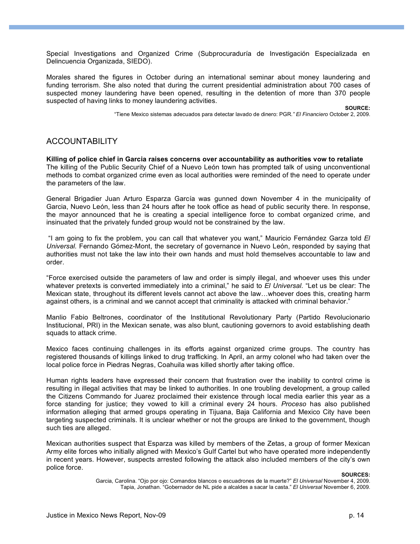Special Investigations and Organized Crime (Subprocuraduría de Investigación Especializada en Delincuencia Organizada, SIEDO).

Morales shared the figures in October during an international seminar about money laundering and funding terrorism. She also noted that during the current presidential administration about 700 cases of suspected money laundering have been opened, resulting in the detention of more than 370 people suspected of having links to money laundering activities.

**SOURCE:**

"Tiene Mexico sistemas adecuados para detectar lavado de dinero: PGR*." El Financiero* October 2, 2009.

## ACCOUNTABILITY

**Killing of police chief in Garcia raises concerns over accountability as authorities vow to retaliate** The killing of the Public Security Chief of a Nuevo León town has prompted talk of using unconventional methods to combat organized crime even as local authorities were reminded of the need to operate under the parameters of the law.

General Brigadier Juan Arturo Esparza García was gunned down November 4 in the municipality of Garcia, Nuevo León, less than 24 hours after he took office as head of public security there. In response, the mayor announced that he is creating a special intelligence force to combat organized crime, and insinuated that the privately funded group would not be constrained by the law.

 "I am going to fix the problem, you can call that whatever you want," Mauricio Fernández Garza told *El Universal.* Fernando Gómez-Mont, the secretary of governance in Nuevo León, responded by saying that authorities must not take the law into their own hands and must hold themselves accountable to law and order.

"Force exercised outside the parameters of law and order is simply illegal, and whoever uses this under whatever pretexts is converted immediately into a criminal," he said to *El Universal.* "Let us be clear: The Mexican state, throughout its different levels cannot act above the law…whoever does this, creating harm against others, is a criminal and we cannot accept that criminality is attacked with criminal behavior."

Manlio Fabio Beltrones, coordinator of the Institutional Revolutionary Party (Partido Revolucionario Institucional, PRI) in the Mexican senate, was also blunt, cautioning governors to avoid establishing death squads to attack crime.

Mexico faces continuing challenges in its efforts against organized crime groups. The country has registered thousands of killings linked to drug trafficking. In April, an army colonel who had taken over the local police force in Piedras Negras, Coahuila was killed shortly after taking office.

Human rights leaders have expressed their concern that frustration over the inability to control crime is resulting in illegal activities that may be linked to authorities. In one troubling development, a group called the Citizens Commando for Juarez proclaimed their existence through local media earlier this year as a force standing for justice; they vowed to kill a criminal every 24 hours. *Proceso* has also published information alleging that armed groups operating in Tijuana, Baja California and Mexico City have been targeting suspected criminals. It is unclear whether or not the groups are linked to the government, though such ties are alleged.

Mexican authorities suspect that Esparza was killed by members of the Zetas, a group of former Mexican Army elite forces who initially aligned with Mexico's Gulf Cartel but who have operated more independently in recent years. However, suspects arrested following the attack also included members of the city's own police force.

**SOURCES:**

Garcia, Carolina. "Ojo por ojo: Comandos blancos o escuadrones de la muerte?" *El Universal* November 4, 2009. Tapia, Jonathan. "Gobernador de NL pide a alcaldes a sacar la casta." *El Universal* November 6, 2009.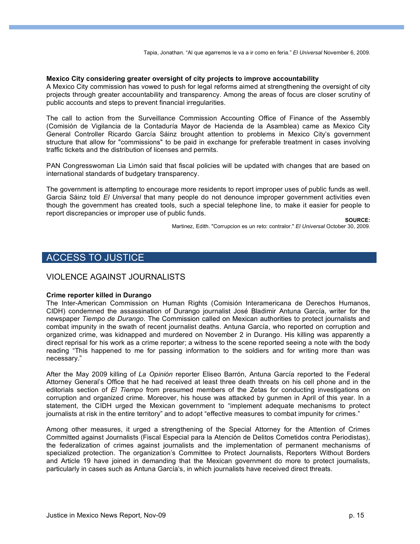Tapia, Jonathan. "Al que agarremos le va a ir como en feria." *El Universal* November 6, 2009.

#### **Mexico City considering greater oversight of city projects to improve accountability**

A Mexico City commission has vowed to push for legal reforms aimed at strengthening the oversight of city projects through greater accountability and transparency. Among the areas of focus are closer scrutiny of public accounts and steps to prevent financial irregularities.

The call to action from the Surveillance Commission Accounting Office of Finance of the Assembly (Comisión de Vigilancia de la Contaduría Mayor de Hacienda de la Asamblea) came as Mexico City General Controller Ricardo García Sáinz brought attention to problems in Mexico City's government structure that allow for "commissions" to be paid in exchange for preferable treatment in cases involving traffic tickets and the distribution of licenses and permits.

PAN Congresswoman Lia Limón said that fiscal policies will be updated with changes that are based on international standards of budgetary transparency.

The government is attempting to encourage more residents to report improper uses of public funds as well. Garcia Sáinz told *El Universal* that many people do not denounce improper government activities even though the government has created tools, such a special telephone line, to make it easier for people to report discrepancies or improper use of public funds.

**SOURCE:**

Martinez, Edith. "Corrupcion es un reto: contralor." *El Universal* October 30, 2009.

## ACCESS TO JUSTICE

## VIOLENCE AGAINST JOURNALISTS

#### **Crime reporter killed in Durango**

The Inter-American Commission on Human Rights (Comisión Interamericana de Derechos Humanos, CIDH) condemned the assassination of Durango journalist José Bladimir Antuna García, writer for the newspaper *Tiempo de Durango*. The Commission called on Mexican authorities to protect journalists and combat impunity in the swath of recent journalist deaths. Antuna García, who reported on corruption and organized crime, was kidnapped and murdered on November 2 in Durango. His killing was apparently a direct reprisal for his work as a crime reporter; a witness to the scene reported seeing a note with the body reading "This happened to me for passing information to the soldiers and for writing more than was necessary."

After the May 2009 killing of *La Opinión* reporter Eliseo Barrón, Antuna García reported to the Federal Attorney General's Office that he had received at least three death threats on his cell phone and in the editorials section of *El Tiempo* from presumed members of the Zetas for conducting investigations on corruption and organized crime. Moreover, his house was attacked by gunmen in April of this year. In a statement, the CIDH urged the Mexican government to "implement adequate mechanisms to protect journalists at risk in the entire territory" and to adopt "effective measures to combat impunity for crimes."

Among other measures, it urged a strengthening of the Special Attorney for the Attention of Crimes Committed against Journalists (Fiscal Especial para la Atención de Delitos Cometidos contra Periodistas), the federalization of crimes against journalists and the implementation of permanent mechanisms of specialized protection. The organization's Committee to Protect Journalists, Reporters Without Borders and Article 19 have joined in demanding that the Mexican government do more to protect journalists, particularly in cases such as Antuna García's, in which journalists have received direct threats.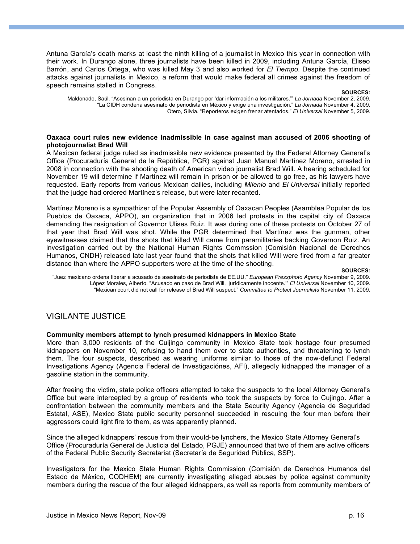Antuna García's death marks at least the ninth killing of a journalist in Mexico this year in connection with their work. In Durango alone, three journalists have been killed in 2009, including Antuna García, Eliseo Barrón, and Carlos Ortega, who was killed May 3 and also worked for *El Tiempo.* Despite the continued attacks against journalists in Mexico, a reform that would make federal all crimes against the freedom of speech remains stalled in Congress.

**SOURCES:**

Maldonado, Saúl. "Asesinan a un periodista en Durango por 'dar información a los militares.'" *La Jornada* November 2, 2009. "La CIDH condena asesinato de periodista en México y exige una investigación." *La Jornada* November 4, 2009. Otero, Silvia. "Reporteros exigen frenar atentados." *El Universal* November 5, 2009.

#### **Oaxaca court rules new evidence inadmissible in case against man accused of 2006 shooting of photojournalist Brad Will**

A Mexican federal judge ruled as inadmissible new evidence presented by the Federal Attorney General's Office (Procuraduría General de la República, PGR) against Juan Manuel Martínez Moreno, arrested in 2008 in connection with the shooting death of American video journalist Brad Will. A hearing scheduled for November 19 will determine if Martínez will remain in prison or be allowed to go free, as his lawyers have requested. Early reports from various Mexican dailies, including *Milenio* and *El Universal* initially reported that the judge had ordered Martínez's release, but were later recanted.

Martínez Moreno is a sympathizer of the Popular Assembly of Oaxacan Peoples (Asamblea Popular de los Pueblos de Oaxaca, APPO), an organization that in 2006 led protests in the capital city of Oaxaca demanding the resignation of Governor Ulises Ruiz. It was during one of these protests on October 27 of that year that Brad Will was shot. While the PGR determined that Martínez was the gunman, other eyewitnesses claimed that the shots that killed Will came from paramilitaries backing Governon Ruiz. An investigation carried out by the National Human Rights Commssion (Comisión Nacional de Derechos Humanos, CNDH) released late last year found that the shots that killed Will were fired from a far greater distance than where the APPO supporters were at the time of the shooting.

#### **SOURCES:**

"Juez mexicano ordena liberar a acusado de asesinato de periodista de EE.UU." *European Pressphoto Agency* November 9, 2009. López Morales, Alberto. "Acusado en caso de Brad Will, 'jurídicamente inocente.'" *El Universal* November 10, 2009. "Mexican court did not call for release of Brad Will suspect." *Committee to Protect Journalists* November 11, 2009.

## VIGILANTE JUSTICE

#### **Community members attempt to lynch presumed kidnappers in Mexico State**

More than 3,000 residents of the Cuijingo community in Mexico State took hostage four presumed kidnappers on November 10, refusing to hand them over to state authorities, and threatening to lynch them. The four suspects, described as wearing uniforms similar to those of the now-defunct Federal Investigations Agency (Agencia Federal de Investigaciónes, AFI), allegedly kidnapped the manager of a gasoline station in the community.

After freeing the victim, state police officers attempted to take the suspects to the local Attorney General's Office but were intercepted by a group of residents who took the suspects by force to Cujingo. After a confrontation between the community members and the State Security Agency (Agencia de Seguridad Estatal, ASE), Mexico State public security personnel succeeded in rescuing the four men before their aggressors could light fire to them, as was apparently planned.

Since the alleged kidnappers' rescue from their would-be lynchers, the Mexico State Attorney General's Office (Procuraduría General de Justicia del Estado, PGJE) announced that two of them are active officers of the Federal Public Security Secretariat (Secretaría de Seguridad Pública, SSP).

Investigators for the Mexico State Human Rights Commission (Comisión de Derechos Humanos del Estado de México, CODHEM) are currently investigating alleged abuses by police against community members during the rescue of the four alleged kidnappers, as well as reports from community members of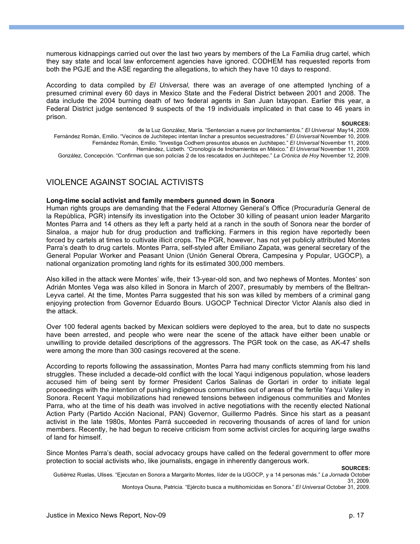numerous kidnappings carried out over the last two years by members of the La Familia drug cartel, which they say state and local law enforcement agencies have ignored. CODHEM has requested reports from both the PGJE and the ASE regarding the allegations, to which they have 10 days to respond.

According to data compiled by *El Universal,* there was an average of one attempted lynching of a presumed criminal every 60 days in Mexico State and the Federal District between 2001 and 2008. The data include the 2004 burning death of two federal agents in San Juan Ixtayopan. Earlier this year, a Federal District judge sentenced 9 suspects of the 19 individuals implicated in that case to 46 years in prison.

#### **SOURCES:**

de la Luz González, María. "Sentencian a nueve por linchamientos." *El Universal* May14, 2009.

Fernández Román, Emilio. "Vecinos de Juchitepec intentan linchar a presuntos secuestradores." *El Universal* November 10, 2009.

Fernández Román, Emilio. "Investiga Codhem presuntos abusos en Juchitepec." *El Universal* November 11, 2009. Hernández, Lizbeth. "Cronología de linchamientos en México." *El Universal* November 11, 2009.

González, Concepción. "Confirman que son policías 2 de los rescatados en Juchitepec." *La Crónica de Hoy* November 12, 2009.

## VIOLENCE AGAINST SOCIAL ACTIVISTS

#### **Long-time social activist and family members gunned down in Sonora**

Human rights groups are demanding that the Federal Attorney General's Office (Procuraduría General de la República, PGR) intensify its investigation into the October 30 killing of peasant union leader Margarito Montes Parra and 14 others as they left a party held at a ranch in the south of Sonora near the border of Sinaloa, a major hub for drug production and trafficking. Farmers in this region have reportedly been forced by cartels at times to cultivate illicit crops. The PGR, however, has not yet publicly attributed Montes Parra's death to drug cartels. Montes Parra, self-styled after Emiliano Zapata, was general secretary of the General Popular Worker and Peasant Union (Unión General Obrera, Campesina y Popular, UGOCP), a national organization promoting land rights for its estimated 300,000 members.

Also killed in the attack were Montes' wife, their 13-year-old son, and two nephews of Montes. Montes' son Adrián Montes Vega was also killed in Sonora in March of 2007, presumably by members of the Beltran-Leyva cartel. At the time, Montes Parra suggested that his son was killed by members of a criminal gang enjoying protection from Governor Eduardo Bours. UGOCP Technical Director Victor Alanís also died in the attack.

Over 100 federal agents backed by Mexican soldiers were deployed to the area, but to date no suspects have been arrested, and people who were near the scene of the attack have either been unable or unwilling to provide detailed descriptions of the aggressors. The PGR took on the case, as AK-47 shells were among the more than 300 casings recovered at the scene.

According to reports following the assassination, Montes Parra had many conflicts stemming from his land struggles. These included a decade-old conflict with the local Yaqui indigenous population, whose leaders accused him of being sent by former President Carlos Salinas de Gortari in order to initiate legal proceedings with the intention of pushing indigenous communities out of areas of the fertile Yaqui Valley in Sonora. Recent Yaqui mobilizations had renewed tensions between indigenous communities and Montes Parra, who at the time of his death was involved in active negotiations with the recently elected National Action Party (Partido Acción Nacional, PAN) Governor, Guillermo Padrés. Since his start as a peasant activist in the late 1980s, Montes Parrá succeeded in recovering thousands of acres of land for union members. Recently, he had begun to receive criticism from some activist circles for acquiring large swaths of land for himself.

Since Montes Parra's death, social advocacy groups have called on the federal government to offer more protection to social activists who, like journalists, engage in inherently dangerous work.

#### **SOURCES:**

Gutiérrez Ruelas, Ulises. "Ejecutan en Sonora a Margarito Montes, líder de la UGOCP, y a 14 personas más." *La Jornada* October 31, 2009.

Montoya Osuna, Patricia. "Ejército busca a multihomicidas en Sonora." *El Universal* October 31, 2009.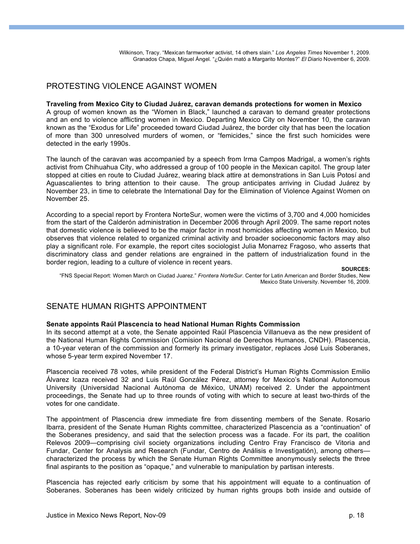Wilkinson, Tracy. "Mexican farmworker activist, 14 others slain." *Los Angeles Times* November 1, 2009. Granados Chapa, Miguel Ángel. "¿Quién mató a Margarito Montes?" *El Diario* November 6, 2009.

## PROTESTING VIOLENCE AGAINST WOMEN

#### **Traveling from Mexico City to Ciudad Juárez, caravan demands protections for women in Mexico**

A group of women known as the "Women in Black," launched a caravan to demand greater protections and an end to violence afflicting women in Mexico. Departing Mexico City on November 10, the caravan known as the "Exodus for Life" proceeded toward Ciudad Juárez, the border city that has been the location of more than 300 unresolved murders of women, or "femicides," since the first such homicides were detected in the early 1990s.

The launch of the caravan was accompanied by a speech from Irma Campos Madrigal, a women's rights activist from Chihuahua City, who addressed a group of 100 people in the Mexican capitol. The group later stopped at cities en route to Ciudad Juárez, wearing black attire at demonstrations in San Luis Potosí and Aguascalientes to bring attention to their cause. The group anticipates arriving in Ciudad Juárez by November 23, in time to celebrate the International Day for the Elimination of Violence Against Women on November 25.

According to a special report by Frontera NorteSur, women were the victims of 3,700 and 4,000 homicides from the start of the Calderón administration in December 2006 through April 2009. The same report notes that domestic violence is believed to be the major factor in most homicides affecting women in Mexico, but observes that violence related to organized criminal activity and broader socioeconomic factors may also play a significant role. For example, the report cites sociologist Julia Monarrez Fragoso, who asserts that discriminatory class and gender relations are engrained in the pattern of industrialization found in the border region, leading to a culture of violence in recent years.

#### **SOURCES:**

 "FNS Special Report: Women March on Ciudad Juarez." *Frontera NorteSur*. Center for Latin American and Border Studies, New Mexico State University. November 16, 2009.

## SENATE HUMAN RIGHTS APPOINTMENT

#### **Senate appoints Raúl Plascencia to head National Human Rights Commission**

In its second attempt at a vote, the Senate appointed Raúl Plascencia Villanueva as the new president of the National Human Rights Commission (Comision Nacional de Derechos Humanos, CNDH). Plascencia, a 10-year veteran of the commission and formerly its primary investigator, replaces José Luis Soberanes, whose 5-year term expired November 17.

Plascencia received 78 votes, while president of the Federal District's Human Rights Commission Emilio Álvarez Icaza received 32 and Luis Raúl González Pérez, attorney for Mexico's National Autonomous University (Universidad Nacional Autónoma de México, UNAM) received 2. Under the appointment proceedings, the Senate had up to three rounds of voting with which to secure at least two-thirds of the votes for one candidate.

The appointment of Plascencia drew immediate fire from dissenting members of the Senate. Rosario Ibarra, president of the Senate Human Rights committee, characterized Plascencia as a "continuation" of the Soberanes presidency, and said that the selection process was a facade. For its part, the coalition Relevos 2009—comprising civil society organizations including Centro Fray Francisco de Vitoria and Fundar, Center for Analysis and Research (Fundar, Centro de Análisis e Investigatión), among others characterized the process by which the Senate Human Rights Committee anonymously selects the three final aspirants to the position as "opaque," and vulnerable to manipulation by partisan interests.

Plascencia has rejected early criticism by some that his appointment will equate to a continuation of Soberanes. Soberanes has been widely criticized by human rights groups both inside and outside of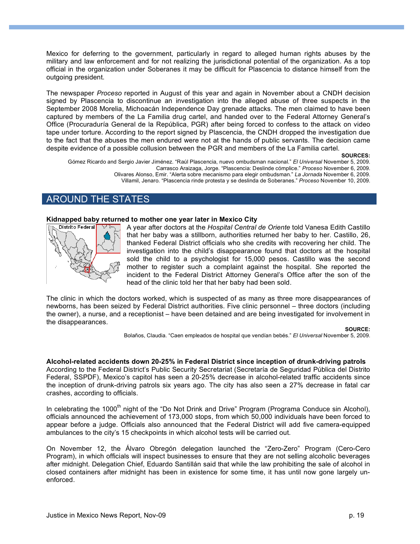Mexico for deferring to the government, particularly in regard to alleged human rights abuses by the military and law enforcement and for not realizing the jurisdictional potential of the organization. As a top official in the organization under Soberanes it may be difficult for Plascencia to distance himself from the outgoing president.

The newspaper *Proceso* reported in August of this year and again in November about a CNDH decision signed by Plascencia to discontinue an investigation into the alleged abuse of three suspects in the September 2008 Morelia, Michoacán Independence Day grenade attacks. The men claimed to have been captured by members of the La Familia drug cartel, and handed over to the Federal Attorney General's Office (Procuraduría General de la República, PGR) after being forced to confess to the attack on video tape under torture. According to the report signed by Plascencia, the CNDH dropped the investigation due to the fact that the abuses the men endured were not at the hands of public servants. The decision came despite evidence of a possible collusion between the PGR and members of the La Familia cartel.

**SOURCES:**

Gómez Ricardo and Sergio Javier Jiménez. "Raúl Plascencia, nuevo ombudsman nacional." *El Universal* November 5, 2009. Carrasco Araizaga, Jorge. "Plascencia: Deslinde cómplice." *Proceso* November 6, 2009. Olivares Alonso, Emir. "Alerta sobre mecanismo para elegir ombudsman." *La Jornada* November 6, 2009. Villamil, Jenaro. "Plascencia rinde protesta y se deslinda de Soberanes." *Proceso* November 10, 2009.

## AROUND THE STATES

#### **Kidnapped baby returned to mother one year later in Mexico City**



A year after doctors at the *Hospital Central de Oriente* told Vanesa Edith Castillo that her baby was a stillborn, authorities returned her baby to her. Castillo, 26, thanked Federal District officials who she credits with recovering her child. The investigation into the child's disappearance found that doctors at the hospital sold the child to a psychologist for 15,000 pesos. Castillo was the second mother to register such a complaint against the hospital. She reported the incident to the Federal District Attorney General's Office after the son of the head of the clinic told her that her baby had been sold.

The clinic in which the doctors worked, which is suspected of as many as three more disappearances of newborns, has been seized by Federal District authorities. Five clinic personnel – three doctors (including the owner), a nurse, and a receptionist – have been detained and are being investigated for involvement in the disappearances.

Bolaños, Claudia. "Caen empleados de hospital que vendían bebés." *El Universal* November 5, 2009.

**Alcohol-related accidents down 20-25% in Federal District since inception of drunk-driving patrols** According to the Federal District's Public Security Secretariat (Secretaría de Seguridad Pública del Distrito Federal, SSPDF), Mexico's capitol has seen a 20-25% decrease in alcohol-related traffic accidents since the inception of drunk-driving patrols six years ago. The city has also seen a 27% decrease in fatal car crashes, according to officials.

In celebrating the 1000<sup>th</sup> night of the "Do Not Drink and Drive" Program (Programa Conduce sin Alcohol), officials announced the achievement of 173,000 stops, from which 50,000 individuals have been forced to appear before a judge. Officials also announced that the Federal District will add five camera-equipped ambulances to the city's 15 checkpoints in which alcohol tests will be carried out.

On November 12, the Álvaro Obregón delegation launched the "Zero-Zero" Program (Cero-Cero Program), in which officials will inspect businesses to ensure that they are not selling alcoholic beverages after midnight. Delegation Chief, Eduardo Santillán said that while the law prohibiting the sale of alcohol in closed containers after midnight has been in existence for some time, it has until now gone largely unenforced.

**SOURCE:**